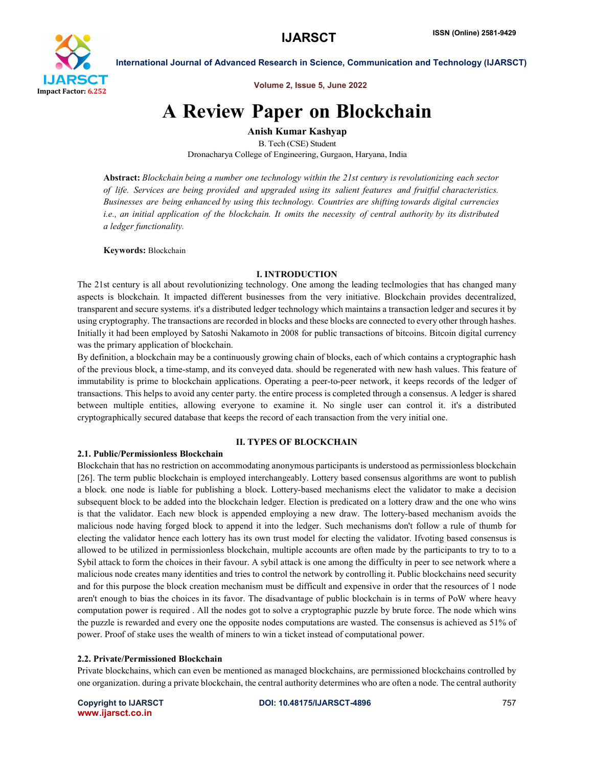

Volume 2, Issue 5, June 2022

# A Review Paper on Blockchain

Anish Kumar Kashyap B. Tech (CSE) Student

Dronacharya College of Engineering, Gurgaon, Haryana, India

Abstract: *Blockchain being a number one technology within the 21st century is revolutionizing each sector of life. Services are being provided and upgraded using its salient features and fruitful characteristics. Businesses are being enhanced by using this technology. Countries are shifting towards digital currencies* i.e., an initial application of the blockchain. It omits the necessity of central authority by its distributed *a ledger functionality.*

Keywords: Blockchain

# I. INTRODUCTION

The 21st century is all about revolutionizing technology. One among the leading teclmologies that has changed many aspects is blockchain. It impacted different businesses from the very initiative. Blockchain provides decentralized, transparent and secure systems. it's a distributed ledger technology which maintains a transaction ledger and secures it by using cryptography. The transactions are recorded in blocks and these blocks are connected to every other through hashes. Initially it had been employed by Satoshi Nakamoto in 2008 for public transactions of bitcoins. Bitcoin digital currency was the primary application of blockchain.

By definition, a blockchain may be a continuously growing chain of blocks, each of which contains a cryptographic hash of the previous block, a time-stamp, and its conveyed data. should be regenerated with new hash values. This feature of immutability is prime to blockchain applications. Operating a peer-to-peer network, it keeps records of the ledger of transactions. This helps to avoid any center party. the entire process is completed through a consensus. A ledger is shared between multiple entities, allowing everyone to examine it. No single user can control it. it's a distributed cryptographically secured database that keeps the record of each transaction from the very initial one.

# II. TYPES OF BLOCKCHAIN

# 2.1. Public/Permissionless Blockchain

Blockchain that has no restriction on accommodating anonymous participants is understood as permissionless blockchain [26]. The term public blockchain is employed interchangeably. Lottery based consensus algorithms are wont to publish a block. one node is liable for publishing a block. Lottery-based mechanisms elect the validator to make a decision subsequent block to be added into the blockchain ledger. Election is predicated on a lottery draw and the one who wins is that the validator. Each new block is appended employing a new draw. The lottery-based mechanism avoids the malicious node having forged block to append it into the ledger. Such mechanisms don't follow a rule of thumb for electing the validator hence each lottery has its own trust model for electing the validator. Ifvoting based consensus is allowed to be utilized in permissionless blockchain, multiple accounts are often made by the participants to try to to a Sybil attack to form the choices in their favour. A sybil attack is one among the difficulty in peer to see network where a malicious node creates many identities and tries to control the network by controlling it. Public blockchains need security and for this purpose the block creation mechanism must be difficult and expensive in order that the resources of 1 node aren't enough to bias the choices in its favor. The disadvantage of public blockchain is in terms of PoW where heavy computation power is required . All the nodes got to solve a cryptographic puzzle by brute force. The node which wins the puzzle is rewarded and every one the opposite nodes computations are wasted. The consensus is achieved as 51% of power. Proof of stake uses the wealth of miners to win a ticket instead of computational power.

# 2.2. Private/Permissioned Blockchain

Private blockchains, which can even be mentioned as managed blockchains, are permissioned blockchains controlled by one organization. during a private blockchain, the central authority determines who are often a node. The central authority

www.ijarsct.co.in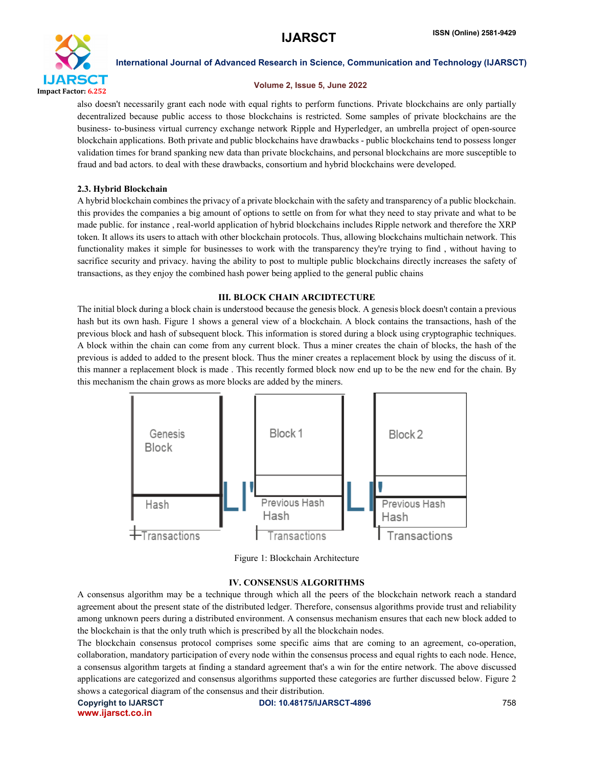

### Volume 2, Issue 5, June 2022

also doesn't necessarily grant each node with equal rights to perform functions. Private blockchains are only partially decentralized because public access to those blockchains is restricted. Some samples of private blockchains are the business- to-business virtual currency exchange network Ripple and Hyperledger, an umbrella project of open-source blockchain applications. Both private and public blockchains have drawbacks - public blockchains tend to possess longer validation times for brand spanking new data than private blockchains, and personal blockchains are more susceptible to fraud and bad actors. to deal with these drawbacks, consortium and hybrid blockchains were developed.

# 2.3. Hybrid Blockchain

A hybrid blockchain combines the privacy of a private blockchain with the safety and transparency of a public blockchain. this provides the companies a big amount of options to settle on from for what they need to stay private and what to be made public. for instance , real-world application of hybrid blockchains includes Ripple network and therefore the XRP token. It allows its users to attach with other blockchain protocols. Thus, allowing blockchains multichain network. This functionality makes it simple for businesses to work with the transparency they're trying to find , without having to sacrifice security and privacy. having the ability to post to multiple public blockchains directly increases the safety of transactions, as they enjoy the combined hash power being applied to the general public chains

# III. BLOCK CHAIN ARCIDTECTURE

The initial block during a block chain is understood because the genesis block. A genesis block doesn't contain a previous hash but its own hash. Figure 1 shows a general view of a blockchain. A block contains the transactions, hash of the previous block and hash of subsequent block. This information is stored during a block using cryptographic techniques. A block within the chain can come from any current block. Thus a miner creates the chain of blocks, the hash of the previous is added to added to the present block. Thus the miner creates a replacement block by using the discuss of it. this manner a replacement block is made . This recently formed block now end up to be the new end for the chain. By this mechanism the chain grows as more blocks are added by the miners.



Figure 1: Blockchain Architecture

# IV. CONSENSUS ALGORITHMS

A consensus algorithm may be a technique through which all the peers of the blockchain network reach a standard agreement about the present state of the distributed ledger. Therefore, consensus algorithms provide trust and reliability among unknown peers during a distributed environment. A consensus mechanism ensures that each new block added to the blockchain is that the only truth which is prescribed by all the blockchain nodes.

The blockchain consensus protocol comprises some specific aims that are coming to an agreement, co-operation, collaboration, mandatory participation of every node within the consensus process and equal rights to each node. Hence, a consensus algorithm targets at finding a standard agreement that's a win for the entire network. The above discussed applications are categorized and consensus algorithms supported these categories are further discussed below. Figure 2 shows a categorical diagram of the consensus and their distribution.

www.ijarsct.co.in

Copyright to IJARSCT **DOI: 10.48175/IJARSCT-4896** 758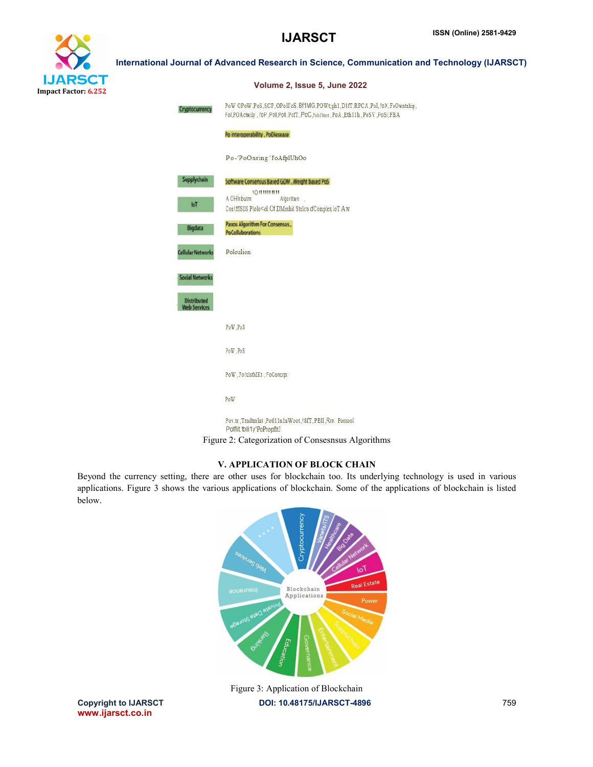

| Cryptocurrency                            | PoW OPoW,PoS,SCP,OPoll'oS.Bf1MG.POWt;gh1,D8fT,RPCA,Pol,I'0X,FoOwntnhip,<br>Fol, POActwily, I'oP, Poll, Poll, PofT, PoC, Pobillmet, PoA, Eth11h, PoSV, PoSi; FBA |
|-------------------------------------------|-----------------------------------------------------------------------------------------------------------------------------------------------------------------|
|                                           | Po interoperability, PoDiesease                                                                                                                                 |
|                                           | Po-'PoOnring'l'oAfplUhOo                                                                                                                                        |
| Supplychain                               | Software Consensus Based GDM, Weight based PoS                                                                                                                  |
| IoT                                       | <b>ЮШШШИ</b><br>A OH!nbutm<br>Algorittwn<br>Con!ffIS11S Plolo <ol aw<="" dcomplex="" dmrshd="" lot="" of="" stnlcts="" td=""></ol>                              |
| Bigdata                                   | Paxos Algorithm For Consensus,<br><b>PoCollaborations</b>                                                                                                       |
| <b>Cellular Networks</b>                  | Poloalion                                                                                                                                                       |
| <b>Social Networks</b>                    |                                                                                                                                                                 |
| <b>Distributed</b><br><b>Web Services</b> |                                                                                                                                                                 |
|                                           | PoW PoS                                                                                                                                                         |
|                                           | PoW.PoS                                                                                                                                                         |
|                                           | PoW, Fo!xlstMKt, FoConcrpt                                                                                                                                      |
|                                           | PoW                                                                                                                                                             |
|                                           |                                                                                                                                                                 |

# V. APPLICATION OF BLOCK CHAIN

Beyond the currency setting, there are other uses for blockchain too. Its underlying technology is used in various applications. Figure 3 shows the various applications of blockchain. Some of the applications of blockchain is listed below.



www.ijarsct.co.in

Copyright to IJARSCT DOI: 10.48175/IJARSCT-4896 759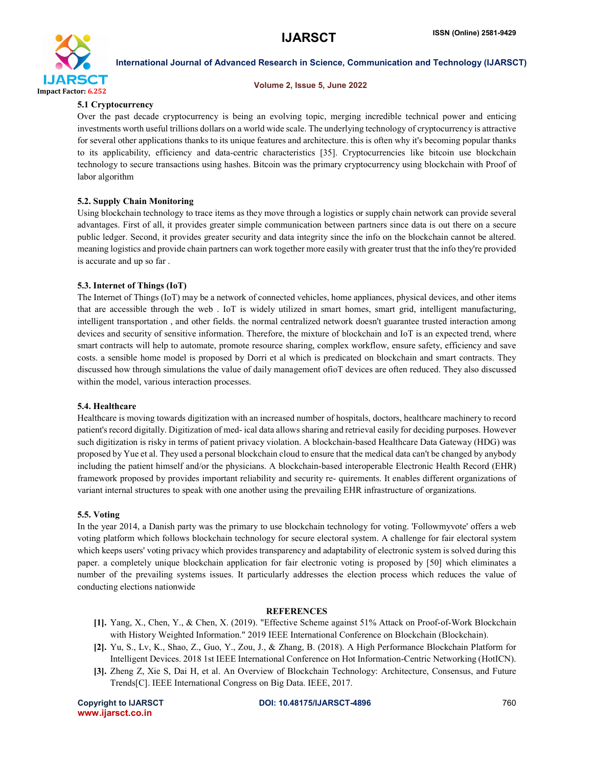

### Volume 2, Issue 5, June 2022

# 5.1 Cryptocurrency

Over the past decade cryptocurrency is being an evolving topic, merging incredible technical power and enticing investments worth useful trillions dollars on a world wide scale. The underlying technology of cryptocurrency is attractive for several other applications thanks to its unique features and architecture. this is often why it's becoming popular thanks to its applicability, efficiency and data-centric characteristics [35]. Cryptocurrencies like bitcoin use blockchain technology to secure transactions using hashes. Bitcoin was the primary cryptocurrency using blockchain with Proof of labor algorithm

# 5.2. Supply Chain Monitoring

Using blockchain technology to trace items as they move through a logistics or supply chain network can provide several advantages. First of all, it provides greater simple communication between partners since data is out there on a secure public ledger. Second, it provides greater security and data integrity since the info on the blockchain cannot be altered. meaning logistics and provide chain partners can work together more easily with greater trust that the info they're provided is accurate and up so far .

# 5.3. Internet of Things (IoT)

The Internet of Things (IoT) may be a network of connected vehicles, home appliances, physical devices, and other items that are accessible through the web . IoT is widely utilized in smart homes, smart grid, intelligent manufacturing, intelligent transportation , and other fields. the normal centralized network doesn't guarantee trusted interaction among devices and security of sensitive information. Therefore, the mixture of blockchain and IoT is an expected trend, where smart contracts will help to automate, promote resource sharing, complex workflow, ensure safety, efficiency and save costs. a sensible home model is proposed by Dorri et al which is predicated on blockchain and smart contracts. They discussed how through simulations the value of daily management ofioT devices are often reduced. They also discussed within the model, various interaction processes.

# 5.4. Healthcare

Healthcare is moving towards digitization with an increased number of hospitals, doctors, healthcare machinery to record patient's record digitally. Digitization of med- ical data allows sharing and retrieval easily for deciding purposes. However such digitization is risky in terms of patient privacy violation. A blockchain-based Healthcare Data Gateway (HDG) was proposed by Yue et al. They used a personal blockchain cloud to ensure that the medical data can't be changed by anybody including the patient himself and/or the physicians. A blockchain-based interoperable Electronic Health Record (EHR) framework proposed by provides important reliability and security re- quirements. It enables different organizations of variant internal structures to speak with one another using the prevailing EHR infrastructure of organizations.

# 5.5. Voting

In the year 2014, a Danish party was the primary to use blockchain technology for voting. 'Followmyvote' offers a web voting platform which follows blockchain technology for secure electoral system. A challenge for fair electoral system which keeps users' voting privacy which provides transparency and adaptability of electronic system is solved during this paper. a completely unique blockchain application for fair electronic voting is proposed by [50] which eliminates a number of the prevailing systems issues. It particularly addresses the election process which reduces the value of conducting elections nationwide

### **REFERENCES**

- [1]. Yang, X., Chen, Y., & Chen, X. (2019). "Effective Scheme against 51% Attack on Proof-of-Work Blockchain with History Weighted Information." 2019 IEEE International Conference on Blockchain (Blockchain).
- [2]. Yu, S., Lv, K., Shao, Z., Guo, Y., Zou, J., & Zhang, B. (2018). A High Performance Blockchain Platform for Intelligent Devices. 2018 1st IEEE International Conference on Hot Information-Centric Networking (HotICN).
- [3]. Zheng Z, Xie S, Dai H, et al. An Overview of Blockchain Technology: Architecture, Consensus, and Future Trends[C]. IEEE International Congress on Big Data. IEEE, 2017.

www.ijarsct.co.in

Copyright to IJARSCT **DOI: 10.48175/IJARSCT-4896** 760